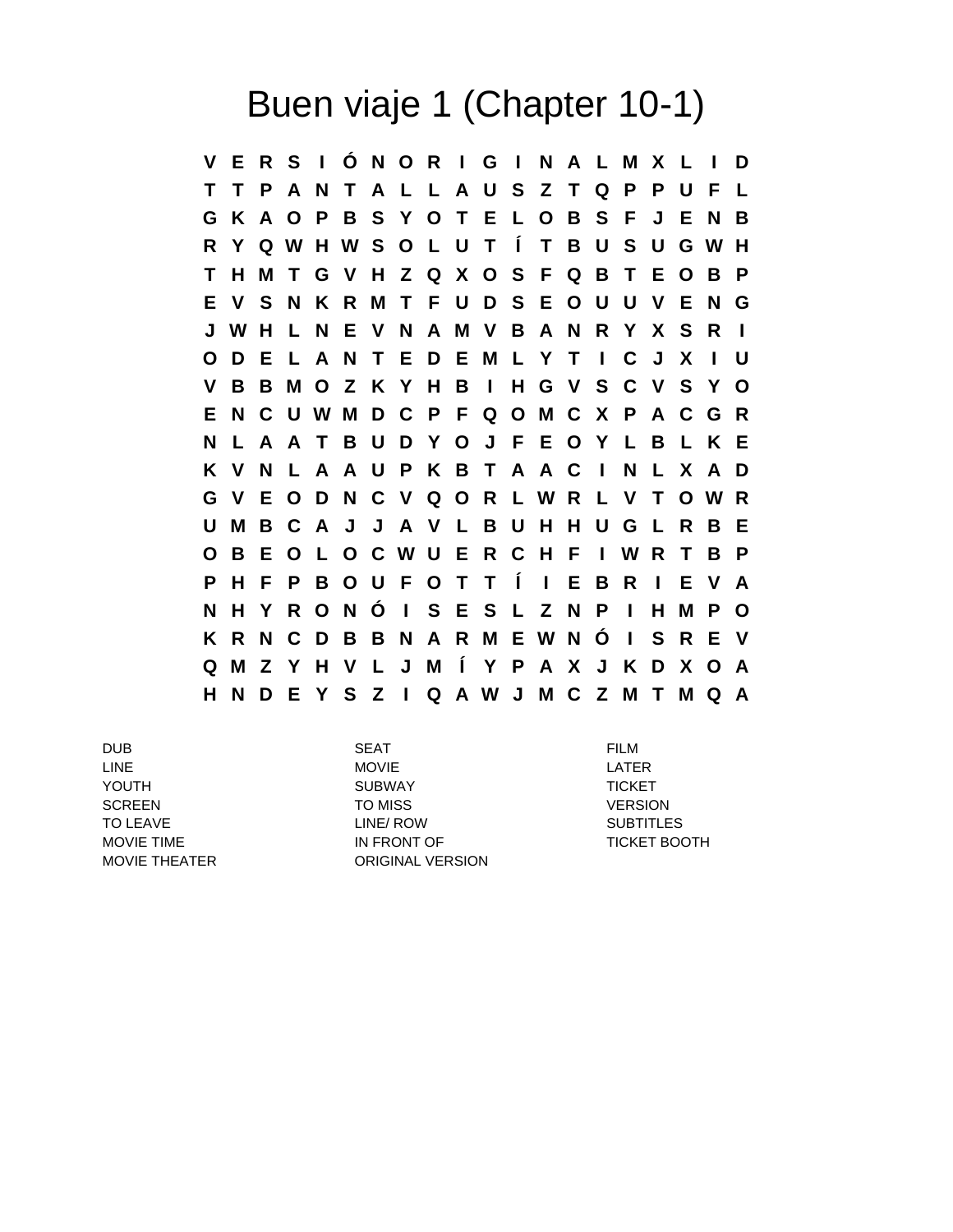## Buen viaje 1 (Chapter 10-1)

**V E R S I Ó N O R I G I N A L M X L I D T T P A N T A L L A U S Z T Q P P U F L G K A O P B S Y O T E L O B S F J E N B R Y Q W H W S O L U T Í T B U S U G W H T H M T G V H Z Q X O S F Q B T E O B P E V S N K R M T F U D S E O U U V E N G J W H L N E V N A M V B A N R Y X S R I O D E L A N T E D E M L Y T I C J X I U V B B M O Z K Y H B I H G V S C V S Y O E N C U W M D C P F Q O M C X P A C G R N L A A T B U D Y O J F E O Y L B L K E K V N L A A U P K B T A A C I N L X A D G V E O D N C V Q O R L W R L V T O W R U M B C A J J A V L B U H H U G L R B E O B E O L O C W U E R C H F I W R T B P P H F P B O U F O T T Í I E B R I E V A N H Y R O N Ó I S E S L Z N P I H M P O K R N C D B B N A R M E W N Ó I S R E V Q M Z Y H V L J M Í Y P A X J K D X O A H N D E Y S Z I Q A W J M C Z M T M Q A**

DUB SEAT FILM LINE LATER MOVIE AND MOVIE YOUTH **SUBWAY** SUBWAY TICKET SCREEN TO MISS VERSION TO LEAVE **EXAMPLE 2008 TO LINE A LINE/ ROW CONTROL** SUBTITLES MOVIE TIME **IN FRONT OF TICKET BOOTH** MOVIE THEATER ORIGINAL VERSION